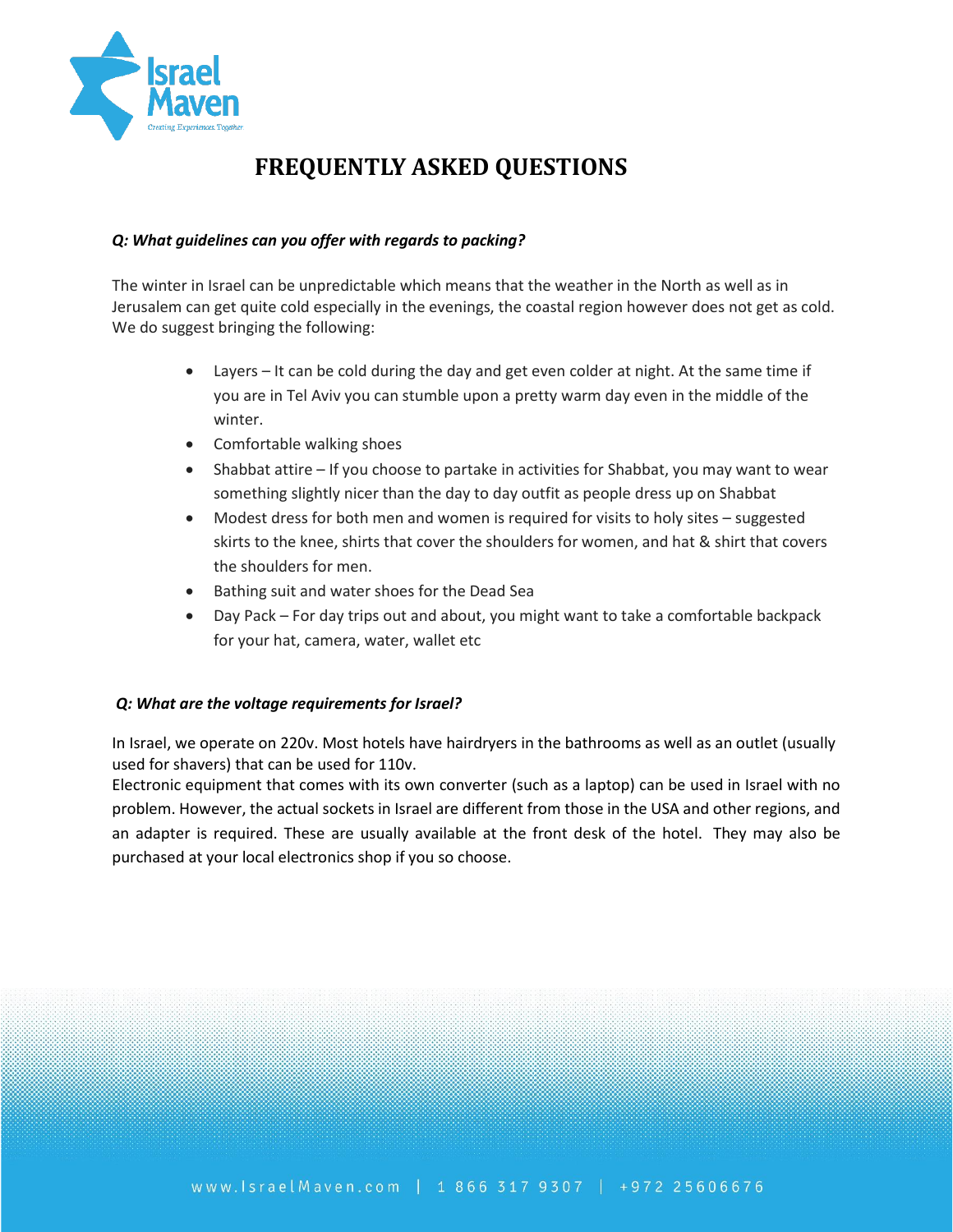

# **FREQUENTLY ASKED QUESTIONS**

#### *Q: What guidelines can you offer with regards to packing?*

The winter in Israel can be unpredictable which means that the weather in the North as well as in Jerusalem can get quite cold especially in the evenings, the coastal region however does not get as cold. We do suggest bringing the following:

- Layers It can be cold during the day and get even colder at night. At the same time if you are in Tel Aviv you can stumble upon a pretty warm day even in the middle of the winter.
- Comfortable walking shoes
- Shabbat attire If you choose to partake in activities for Shabbat, you may want to wear something slightly nicer than the day to day outfit as people dress up on Shabbat
- Modest dress for both men and women is required for visits to holy sites suggested skirts to the knee, shirts that cover the shoulders for women, and hat & shirt that covers the shoulders for men.
- Bathing suit and water shoes for the Dead Sea
- Day Pack For day trips out and about, you might want to take a comfortable backpack for your hat, camera, water, wallet etc

#### *Q: What are the voltage requirements for Israel?*

In Israel, we operate on 220v. Most hotels have hairdryers in the bathrooms as well as an outlet (usually used for shavers) that can be used for 110v.

Electronic equipment that comes with its own converter (such as a laptop) can be used in Israel with no problem. However, the actual sockets in Israel are different from those in the USA and other regions, and an adapter is required. These are usually available at the front desk of the hotel. They may also be purchased at your local electronics shop if you so choose.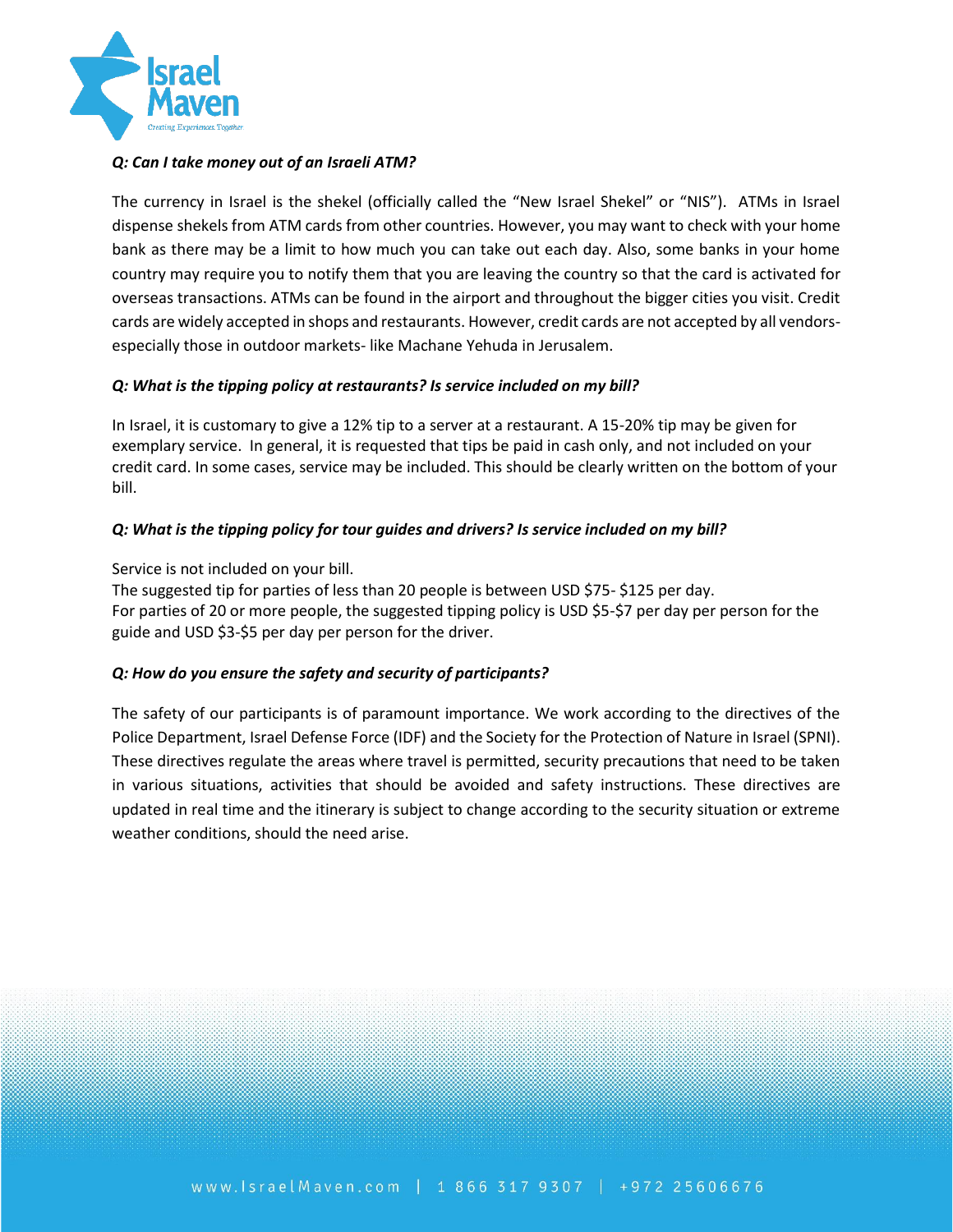

#### *Q: Can I take money out of an Israeli ATM?*

The currency in Israel is the shekel (officially called the "New Israel Shekel" or "NIS"). ATMs in Israel dispense shekels from ATM cards from other countries. However, you may want to check with your home bank as there may be a limit to how much you can take out each day. Also, some banks in your home country may require you to notify them that you are leaving the country so that the card is activated for overseas transactions. ATMs can be found in the airport and throughout the bigger cities you visit. Credit cards are widely accepted in shops and restaurants. However, credit cards are not accepted by all vendorsespecially those in outdoor markets- like Machane Yehuda in Jerusalem.

#### *Q: What is the tipping policy at restaurants? Is service included on my bill?*

In Israel, it is customary to give a 12% tip to a server at a restaurant. A 15-20% tip may be given for exemplary service. In general, it is requested that tips be paid in cash only, and not included on your credit card. In some cases, service may be included. This should be clearly written on the bottom of your bill.

#### *Q: What is the tipping policy for tour guides and drivers? Is service included on my bill?*

Service is not included on your bill.

The suggested tip for parties of less than 20 people is between USD \$75- \$125 per day. For parties of 20 or more people, the suggested tipping policy is USD \$5-\$7 per day per person for the guide and USD \$3-\$5 per day per person for the driver.

## *Q: How do you ensure the safety and security of participants?*

The safety of our participants is of paramount importance. We work according to the directives of the Police Department, Israel Defense Force (IDF) and the Society for the Protection of Nature in Israel (SPNI). These directives regulate the areas where travel is permitted, security precautions that need to be taken in various situations, activities that should be avoided and safety instructions. These directives are updated in real time and the itinerary is subject to change according to the security situation or extreme weather conditions, should the need arise.